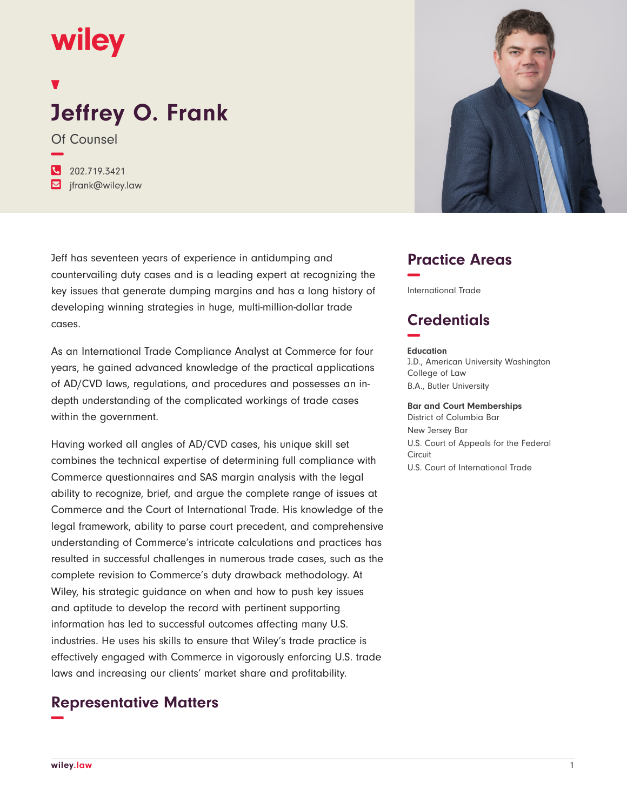# wiley

# **Jeffrey O. Frank**

Of Counsel **−**

**�** 202.719.3421 **�** jfrank@wiley.law

Jeff has seventeen years of experience in antidumping and countervailing duty cases and is a leading expert at recognizing the key issues that generate dumping margins and has a long history of developing winning strategies in huge, multi-million-dollar trade cases.

As an International Trade Compliance Analyst at Commerce for four years, he gained advanced knowledge of the practical applications of AD/CVD laws, regulations, and procedures and possesses an indepth understanding of the complicated workings of trade cases within the government.

Having worked all angles of AD/CVD cases, his unique skill set combines the technical expertise of determining full compliance with Commerce questionnaires and SAS margin analysis with the legal ability to recognize, brief, and argue the complete range of issues at Commerce and the Court of International Trade. His knowledge of the legal framework, ability to parse court precedent, and comprehensive understanding of Commerce's intricate calculations and practices has resulted in successful challenges in numerous trade cases, such as the complete revision to Commerce's duty drawback methodology. At Wiley, his strategic guidance on when and how to push key issues and aptitude to develop the record with pertinent supporting information has led to successful outcomes affecting many U.S. industries. He uses his skills to ensure that Wiley's trade practice is effectively engaged with Commerce in vigorously enforcing U.S. trade laws and increasing our clients' market share and profitability.

## **Representative Matters −**



## **Practice Areas −**

International Trade

## **Credentials −**

#### **Education**

J.D., American University Washington College of Law B.A., Butler University

#### **Bar and Court Memberships**

District of Columbia Bar New Jersey Bar U.S. Court of Appeals for the Federal Circuit U.S. Court of International Trade